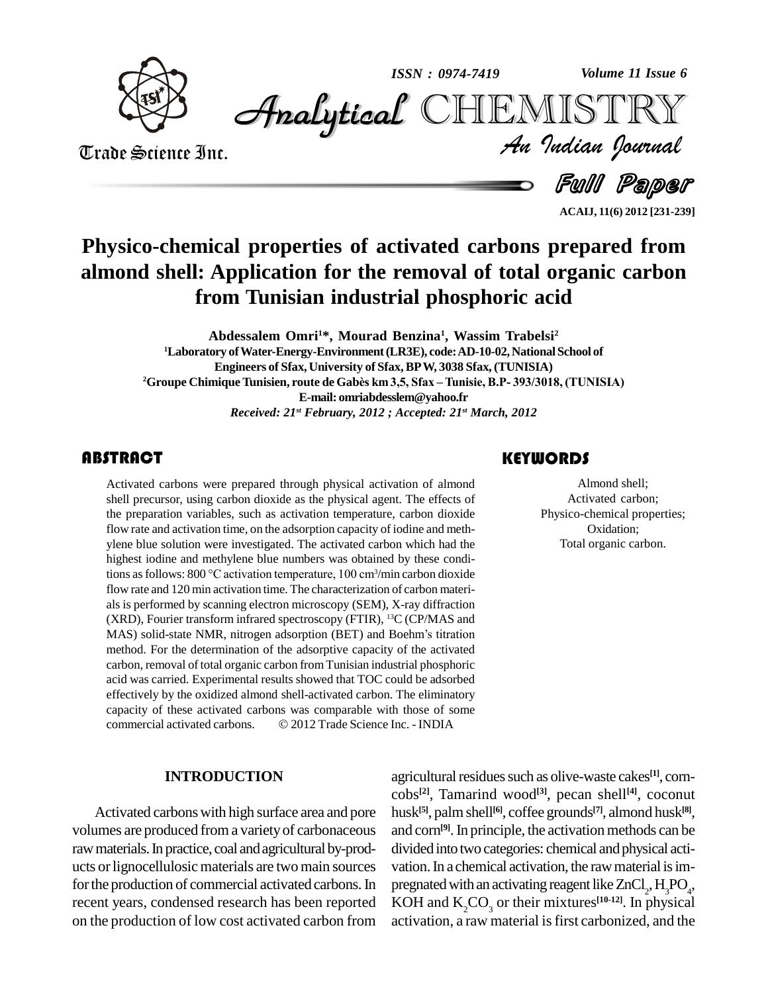

*Volume 11 Issue 6*



Trade Science Inc. Trade Science Inc.

*Volume 11 Issue 6*<br>IISTRY<br>Indian Iournal

d *Full Paper* 

**ACAIJ, 11(6) 2012 [231-239]**

## **Physico-chemical properties of activated carbons prepared from almond shell: Application for the removal of total organic carbon from Tunisian industrial phosphoric acid**

**Abdessalem Omri1\*, Mourad Benzina 1 , Wassim Trabelsi<sup>2</sup>** <sup>1</sup>Laboratory of Water-Energy-Environment (LR3E), code: AD-10-02, National School of<br>Engineers of Sfax, University of Sfax, BP W, 3038 Sfax, (TUNISIA)<br><sup>2</sup>Groupe Chimique Tunisien, route de Gabès km 3,5, Sfax – Tunisie, B.P **Engineers of Sfax, University of Sfax, BPW, 3038 Sfax, (TUNISIA) E-mail: [omriabdesslem@yahoo.fr](mailto:omriabdesslem@yahoo.fr)** *Received: 21 st February, 2012 ; Accepted: 21 st March, 2012*

#### **ABSTRACT**

Activated carbons were<br>shell precursor, using ca<br>the preparation variables Activated carbons were prepared through physical activation of almond shell precursor, using carbon dioxide as the physical agent. The effects of the preparation variables, such as activation temperature, carbon dioxide flow rate and activation time, on the adsorption capacity of iodine and meth ylene blue solution were investigated. The activated carbon which had the highest iodine and methylene blue numbers was obtained by these condiylene blue solution were investigated. The activated carbon which had the highest iodine and methylene blue numbers was obtained by these conditions as follows: 800 °C activation temperature, 100 cm<sup>3</sup>/min carbon dioxide flow rate and 120 min activation time. The characterization of carbon materi als is performed by scanning electron microscopy (SEM), X-ray diffraction (XRD), Fourier transform infrared spectroscopy (FTIR), <sup>13</sup>C (CP/MAS and als is performed by scanning electron microscopy (SEM), X-ray diffraction<br>(XRD), Fourier transform infrared spectroscopy (FTIR), <sup>13</sup>C (CP/MAS and<br>MAS) solid-state NMR, nitrogen adsorption (BET) and Boehm's titration method. For the determination of the adsorptive capacity of the activated carbon, removal of total organic carbon from Tunisian industrial phosphoric acid was carried. Experimental results showed that TOC could be adsorbed effectively by the oxidized almond shell-activated carbon. The eliminatory capacity of these activated carbons was comparable with those of some effectively by the oxidized almond shell-activated carbon. The eliminatory<br>capacity of these activated carbons was comparable with those of some<br>commercial activated carbons. © 2012 Trade Science Inc. - INDIA

#### **INTRODUCTION**

Activated carbonswith high surface area and pore volumes are produced froma varietyof carbonaceous raw materials. In practice, coal and agricultural by-products orlignocellulosic materials are twomain sources for the production of commercial activated carbons. In recent years, condensed research has been reported on the production of low cost activated carbon from

#### **KEYWORDS**

Almond shell;<br>Activated carbon;<br>Physico-chemical properties; Almond shell; Activated carbon; Oxidation; Total organic carbon.

agricultural residues such as olive-waste cakes<sup>[1]</sup>, corncobs **[2]**, Tamarind wood **[3]**, pecan shell **[4]**, coconut husk **[5]**, palmshell **[6]**, coffee grounds **[7]**, almond husk **[8]**, and corn<sup>[9]</sup>. In principle, the activation methods can be divided into two categories: chemical and physical activation. In a chemical activation, the raw material is impregnated with an activating reagent like  $ZnCl_2$ ,  $H_3PO_4$ , KOH and  $K_2CO_3$  or their mixtures<sup>[10-12]</sup>. In physical activation, a raw material is first carbonized, and the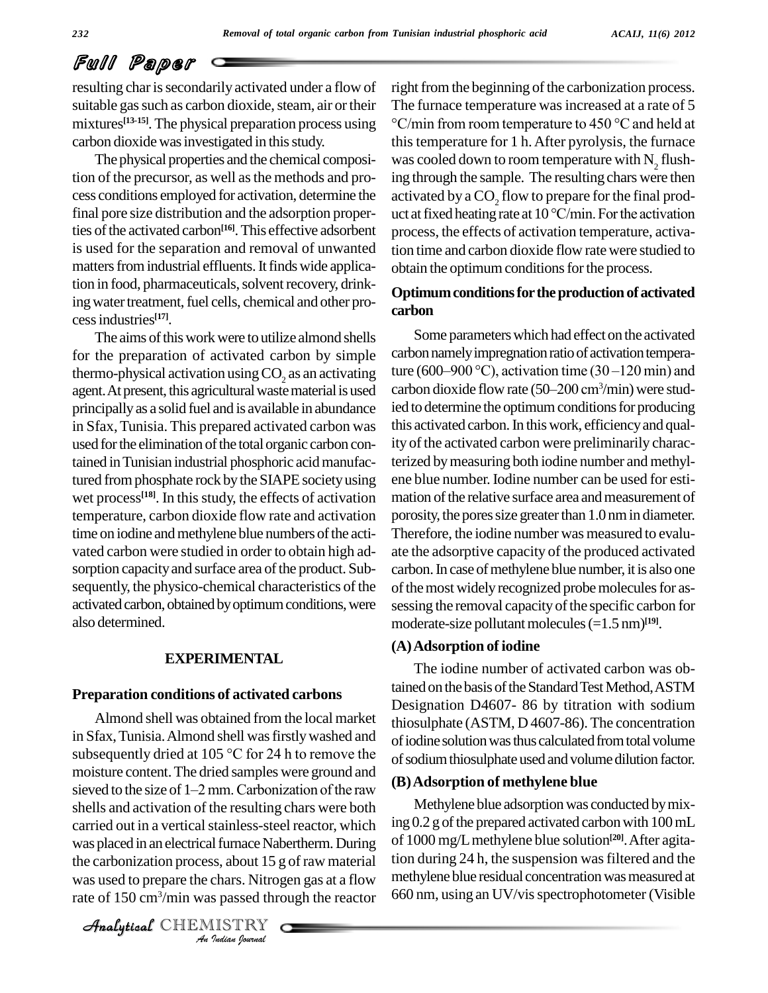resulting char is secondarily activated under a flow of suitable gas such as carbon dioxide, steam, air or their mixtures<sup>[13-15]</sup>. The physical preparation process using <sup>o</sup>C/mir carbon dioxide was investigated in this study.

The physical properties and the chemical composition of the precursor, as well as the methods and profinal pore size distribution and the adsorption properties of the activated carbon<sup>[16]</sup>. This effective adsorbent pro is used for the separation and removal of unwanted matters from industrial effluents. It finds wide application in food, pharmaceuticals, solvent recovery, drinking water treatment, fuel cells, chemical and other processindustries **[17]**.

The aims of this work were to utilize almond shells for the preparation of activated carbon by simple thermo-physical activation using  $CO$ , as an activating agent. At present, this agricultural waste material is used principally as a solid fuel and is available in abundance in Sfax,Tunisia. This prepared activated carbon was used for the elimination of the total organic carbon contained inTunisian industrial phosphoric acidmanufactured from phosphate rock by the SIAPE society using wet process<sup>[18]</sup>. In this study, the effects of activation mation temperature, carbon dioxide flow rate and activation time on iodine and methylene blue numbers of the activated carbon were studied in order to obtain high ad sorption capacity and surface area of the product. Subsequently, the physico-chemical characteristics of the activated carbon, obtained by optimum conditions, were also determined.

#### **EXPERIMENTAL**

#### **Preparation conditions of activated carbons**

was placed in an electrical furnace Nabertherm. During of 1000 *I* furnace Nab<br>*Is, about 15 g*<br>*Is passed through a passed through*<br>*ISTRY* Almond shell was obtained from the local market in Sfax, Tunisia. Almond shell was firstly washed and Almond shell was obtained from the local market<br>in Sfax, Tunisia. Almond shell was firstly washed and<br>subsequently dried at 105  $\degree$ C for 24 h to remove the moisture content.The dried samples were ground and subsequently dried at 105 °C for 24 h to remove the<br>moisture content. The dried samples were ground and<br>sieved to the size of 1–2 mm. Carbonization of the raw (B) Adsorp shells and activation of the resulting chars were both carried out in a vertical stainless-steel reactor, which the carbonization process, about 15 g of raw material was used to prepare the chars. Nitrogen gas at a flow rate of 150 cm<sup>3</sup>/min was passed through the reactor  $660$ 

CHEMISTRY

cess conditions employed for activation, determine the activated by a CO<sub>2</sub> flow to prepare for the final prodright from the beginning of the carbonization process. The furnace temperature was increased at a rate of 5 m the beginning of the carbonization process.<br>nace temperature was increased at a rate of 5<br>from room temperature to 450  $^{\circ}$ C and held at thistemperature for 1 h.After pyrolysis, the furnace was cooled down to room temperature with  $N<sub>2</sub>$  flushing through the sample. The resulting chars were then<br>activated by a  $CO_2$  flow to prepare for the final prod-<br>uct at fixed heating rate at 10 °C/min. For the activation process, the effects of activation temperature, activation time and carbon dioxide flow ratewere studied to obtain the optimum conditions for the process.

#### **Optimumconditionsfortheproductionof activated carbon**

Some parameters which had effect on the activated carbon namely impregnation ratio of activation tempera-<br>ture (600–900 °C), activation time (30–120 min) and<br>carbon dioxide flow rate (50–200 cm<sup>3</sup>/min) were studture (600–900 °C), activation time (30 – 120 min) and carbon dioxide flow rate  $(50-200 \text{ cm}^3/\text{min})$  were studied to determine the optimum conditions for producing this activated carbon. In this work, efficiency and quality of the activated carbon were preliminarily characterized bymeasuring both iodine number and methyl ene blue number.Iodine number can be used for esti mation of the relative surface area and measurement of porosity, the pores size greater than 1.0 nm in diameter. Therefore, the iodine number was measured to evalu ate the adsorptive capacity of the produced activated carbon. In case of methylene blue number, it is also one of the most widely recognized probe molecules for assessing the removal capacity of the specific carbon for moderate-size pollutant molecules (=1.5 nm)<sup>[19]</sup>.

#### **(A)Adsorption of iodine**

The iodine number of activated carbon was obtained on the basis of the Standard Test Method, ASTM Designation D4607- 86 by titration with sodium thiosulphate (ASTM, D 4607-86). The concentration of iodine solution was thus calculated from total volume of sodium thiosulphate used and volume dilution factor.

#### **(B)Adsorption of methylene blue**

Methylene blue adsorption was conducted by mixing  $0.2$  g of the prepared activated carbon with  $100$  mL of 1000 mg/Lmethylene blue solution **[20]**.After agitation during 24 h, the suspension was filtered and the methylene blue residual concentration was measured at 660 nm, using an UV/visspectrophotometer (Visible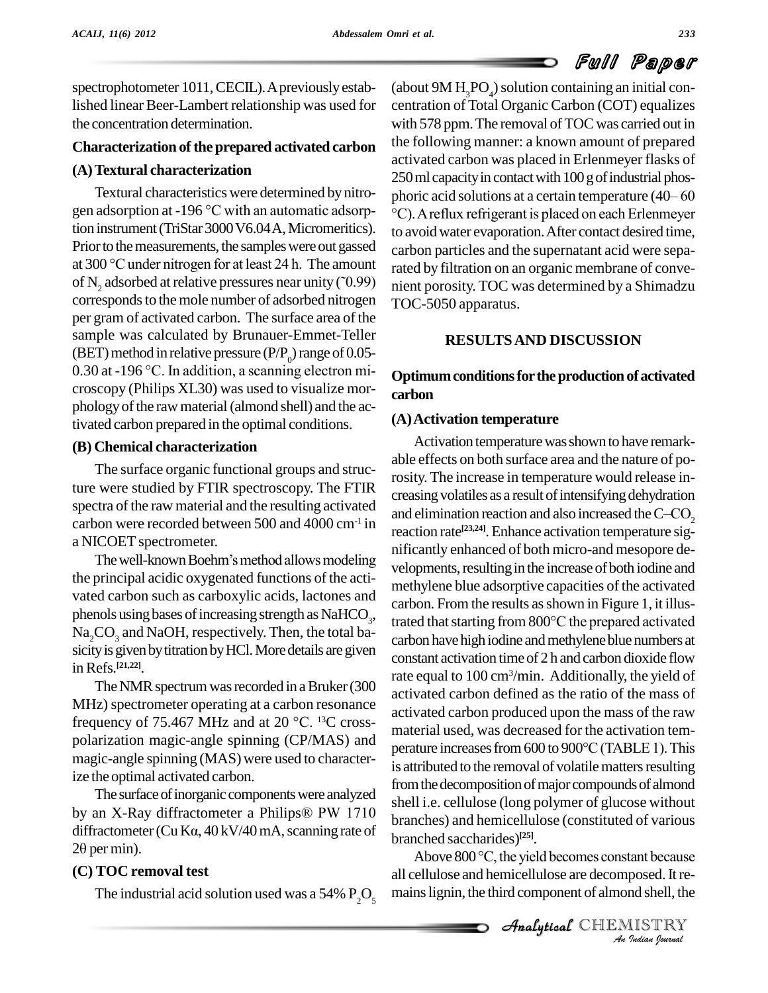spectrophotometer 1011, CECIL). A previously estabthe concentration determination.

#### **Characterization of the prepared activated carbon**

#### **(A)Textural characterization**

gen adsorption at -196 °C with an automatic adsorption instrument (TriStar 3000 V6.04 A, Micromeritics). Prior to the measurements, the samples were out gassed gen adsorption at -196 °C with an automatic adsorp-<br>tion instrument (TriStar 3000 V6.04 A, Micromeritics).<br>Prior to the measurements, the samples were out gassed<br>at 300 °C under nitrogen for at least 24 h. The amount rate of N<sub>2</sub> adsorbed at relative pressures near unity ( $\tilde{O}(0.99)$ ) corresponds to the mole number of adsorbed nitrogen per gram of activated carbon. The surface area of the sample was calculated by Brunauer-Emmet-Teller<br>(BET) method in relative pressure (P/P<sub>0</sub>) range of 0.05-<br>0.30 at -196 °C. In addition, a scanning electron microscopy (Philips XL30) was used to visualize mor phology of the raw material (almond shell) and the activated carbon prepared in the optimal conditions.

#### **(B) Chemical characterization**

The surface organic functional groups and structure were studied by FTIR spectroscopy. The FTIR spectra of the raw material and the resulting activated and elimination reaction and also increased the  $C-CO$ , carbon were recorded between 500 and 4000 cm<sup>-1</sup> in<br>a NICOET spectrometer.<br>The well-known Boehm's method allows modeling a NICOET spectrometer.

the principal acidic oxygenated functions of the acti vated carbon such as carboxylic acids, lactones and phenols using bases of increasing strength as  $NAHCO<sub>3</sub>$ ,  $Na<sub>2</sub>CO<sub>3</sub>$  and NaOH, respectively. Then, the total basicity is given by titration by HCl. More details are given inRefs. **[21,22]**.

The NMR spectrum was recorded in a Bruker (300 MHz) spectrometer operating at a carbon resonance frequency of 75.467 MHz and at 20  $^{\circ}$ C. <sup>13</sup>C crosspolarization magic-angle spinning (CP/MAS) and<br>perature increases from 600 to 900 °C (TABLE 1). This magic-angle spinning (MAS) were used to characterize the optimal activated carbon.

The surface of inorganic components were analyzed ize the optimal activated carbon.<br>The surface of inorganic components were analyzed<br>by an X-Ray diffractometer a Philips® PW 1710 The surface of inorganic components were analyzed<br>by an X-Ray diffractometer a Philips<sup>®</sup> PW 1710<br>diffractometer (CuK $\alpha$ , 40 kV/40 mA, scanning rate of by an X-Ray di:<br>diffractometer (C<br>20 per min).

### **(C) TOC removal test**

The industrial acid solution used was a 54%  $P_2O_5$ 

lished linear Beer-Lambert relationship was used for centration of Total Organic Carbon (COT) equalizes Textural characteristics were determined by nitro-<br>phoric acid solutions at a certain temperature (40–60 (about  $9M H<sub>3</sub>PO<sub>A</sub>$ ) solution containing an initial conwith 578 ppm. The removal of TOC was carried out in the following manner: a known amount of prepared activated carbon was placed in Erlenmeyer flasks of 250 ml capacity in contact with 100 g of industrial phosactivated carbon was placed in Erlenmeyer flasks of<br>250 ml capacity in contact with 100 g of industrial phos-<br>phoric acid solutions at a certain temperature (40– 60 250 ml capacity in contact with 100 g of industrial phos-<br>phoric acid solutions at a certain temperature (40– 60<br>°C). A reflux refrigerant is placed on each Erlenmeyer to avoidwater evaporation.After contact desired time, carbon particles and the supernatant acid were separated by filtration on an organic membrane of conve nient porosity. TOC was determined by a Shimadzu TOC-5050 apparatus.

### **RESULTSAND DISCUSSION**

### **Optimumconditionsfortheproductionof activated carbon**

#### **(A)Activation temperature**

branched saccharides)<sup>[25]</sup>. in  $\frac{\text{and } \text{am}$  reaction rate<sup>[23,24]</sup>. Enhance activation temperature sig-The methylene blue adsorptive capacities of the activated<br>carbon. From the results as shown in Figure 1, it illus-<br>trated that starting from  $800^{\circ}$ C the prepared activated Activation temperature was shown to have remarkable effects on both surface area and the nature of porosity. The increase in temperature would release in creasing volatiles as a result of intensifying dehydration rosity. The increase in temperature would release increasing volatiles as a result of intensifying dehydration and elimination reaction and also increased the  $C$ – $CO<sub>2</sub>$ nificantly enhanced of both micro-and mesopore de velopments, resulting in the increase of both iodine and methylene blue adsorptive capacities of the activated carbon. From the results as shown in Figure 1, it illuscarbon have high iodine and methylene blue numbers at constant activation time of 2 h and carbon dioxide flow rate equal to 100 cm<sup>3</sup> /min. Additionally, the yield of activated carbon defined as the ratio of the mass of activated carbon produced upon the mass of the raw material used, was decreased for the activation tem activated carbon produced upon the mass of the raw<br>material used, was decreased for the activation tem-<br>perature increases from 600 to 900°C (TABLE 1). This is attributed to the removal of volatile matters resulting from the decomposition of major compounds of almond shell i.e. cellulose (long polymer of glucose without branches) and hemicellulose (constituted of various<br>branched saccharides)<sup>[25]</sup>.<br>Above 800 °C, the yield becomes constant because

*Indian*<br>*Posed. It reads the IISTRY*<br>*IISTRY* all cellulose and hemicellulose are decomposed. It remains lignin, the third component of almond shell, the

CHEMISTRY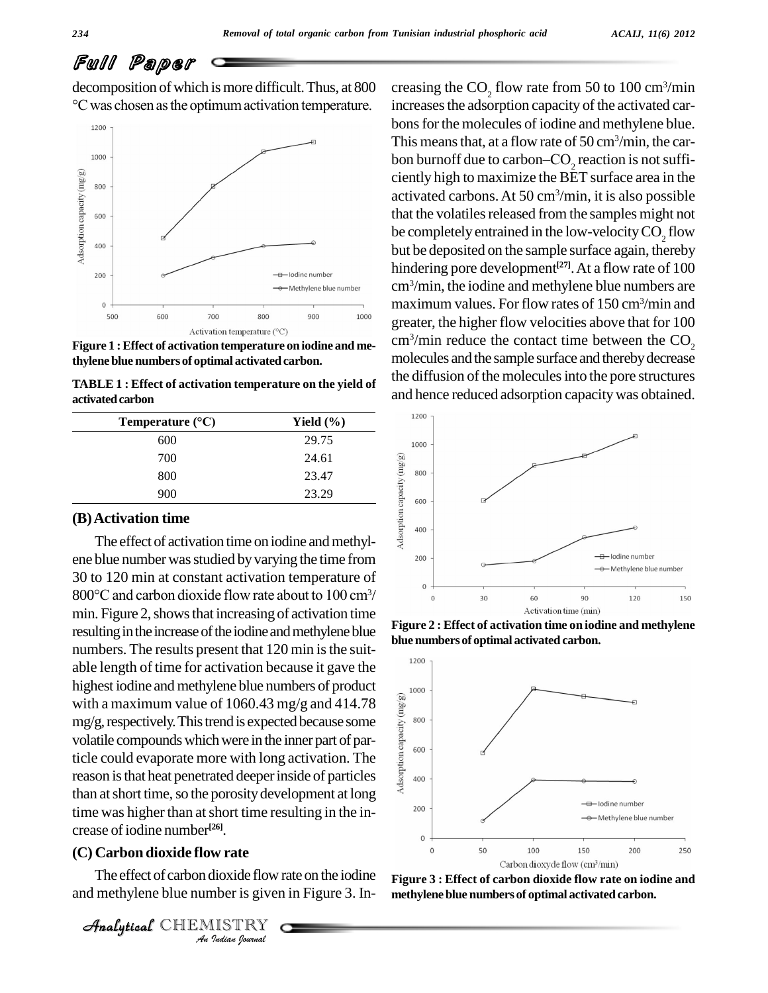decomposition of which is more difficult. Thus, at 800 creasin chosen as the optimum activation temperature.<br>  $\frac{1}{2}$  chosen as the optimum activation temperature.



**Figure 1 :Effect of activation temperature on iodine and methylene blue numbers of optimal activated carbon.**

**TABLE 1 : Effect** of activation temperature on the yield of and and **Temperature** (°C) **Subseteral COV** activated carbon

| Temperature $(^{\circ}C)$                           | Yield $(\%)$ |
|-----------------------------------------------------|--------------|
| 600                                                 | 29.75        |
| 700                                                 | 24.61        |
| 800                                                 | 23.47        |
| 900                                                 | 23.29        |
| (B) Activation time                                 |              |
| The effect of activation time on iodine and methyl- |              |

#### **(B)Activation time**

crease of iodine number<sup>[26]</sup>.  $\alpha$  and  $\alpha$  and  $\alpha$ ene blue number was studied by varying the time from<br>
30 to 120 min at constant activation temperature of<br>  $800^{\circ}$ C and carbon dioxide flow rate about to 100 cm<sup>3</sup>/ 30 to 120 min at constant activation temperature of 800°C and carbon dioxide flow rate about to 100 cm<sup>3</sup>/ min. Figure 2, shows that increasing of activation time resulting in the increase of the iodine and methylene blue numbers. The results present that  $120 \text{ min}$  is the suitable length of time for activation because it gave the highest iodine and methylene blue numbers of product<br>with a maximum value of 1060.43 mg/g and 414.78<br>mg/g, respectively. This trend is expected because some<br>volatile compounds which were in the inner part of par-<br>ticle co with a maximum value of 1060.43 mg/g and 414.78 mg/g, respectively. This trend is expected because some volatile compounds which were in the inner part of particle could evaporate more with long activation. The reason is that heat penetrated deeper inside of particles  $\frac{1}{3}$  400 than at short time, so the porosity development at long time was higher than at short time resulting in the in-

#### **(C) Carbon dioxide flow rate**

**IV**<br>**II**<br>**III**<br>IIISTRY<br>IIISTRY<br>*Indian hournal* The effect of carbon dioxide flowrate on the iodine and methylene blue number is given in Figure 3. In-

Analytical CHEMISTRY

creasing the  $\text{CO}_2$  flow rate from 50 to 100 cm<sup>3</sup>/min increases the adsorption capacity of the activated carbons for the molecules of iodine and methylene blue.<br>This means that, at a flow rate of 50 cm<sup>3</sup>/min, the carbon burnoff due to carbon–CO<sub>2</sub> reaction is not suffi-<br>ciently high to maximize the BET surface area in the This means that, at a flow rate of  $50 \text{ cm}^3/\text{min}$ , the caractivated carbons.At 50 cm<sup>3</sup> /min, it is also possible that the volatiles released from the samples might not be completely entrained in the low-velocity  $CO<sub>2</sub>$  flow but be deposited on the sample surface again, thereby hindering pore development **[27]**.At a flow rate of 100 cm<sup>3</sup> /min, the iodine and methylene blue numbers are maximum values. For flow rates of 150 cm<sup>3</sup> /min and greater, the higher flow velocities above that for 100 cm<sup>3</sup>/min reduce the contact time between the  $CO_2$ molecules and the sample surface and thereby decrease the diffusion of the molecules into the pore structures and hence reduced adsorption capacitywas obtained.



**Figure 2 : Effect of activation time on iodine and methylene bluenumbers of optimal activated carbon.**



**Figure 3 : Effect of carbon dioxide flow rate on iodine and methylene blue numbers of optimal activated carbon.**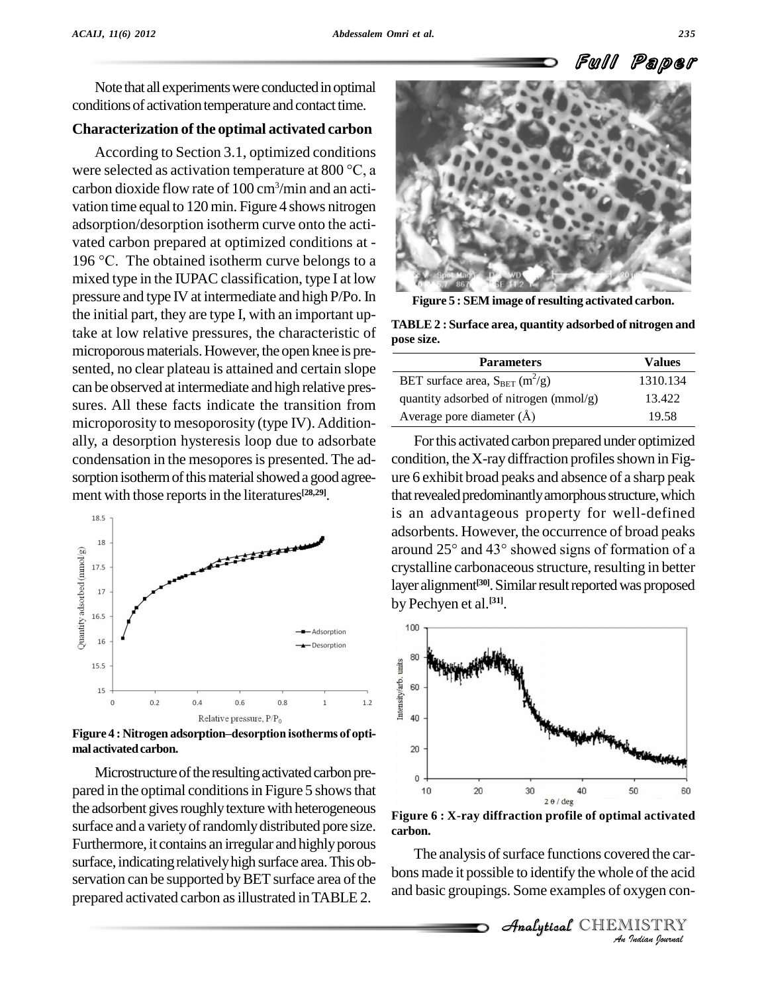Note that all experiments were conducted in optimal conditions of activation temperature and contact time.

#### **Characterization of the optimal activated carbon**

According to Section 3.1, optimized conditions were selected as activation temperature at <sup>800</sup> °C, <sup>a</sup> carbon dioxide flow rate of 100 cm<sup>3</sup> /min and an acti vation time equal to 120 min. Figure 4 shows nitrogen adsorption/desorption isotherm curve onto the activated carbon prepared at optimized conditions at - 196 °C. The obtained isotherm curve belongs to a mixed type in the IUPAC classification, type I at low pressure and type IV at intermediate and high P/Po.In the initial part, they are type I, with an important uptake at low relative pressures, the characteristic of microporous materials. However, the open knee is presented, no clear plateau is attained and certain slope can be observed at intermediate and high relative pres sures. All these facts indicate the transition from microporosity to mesoporosity (type IV). Additionally, a desorption hysteresis loop due to adsorbate condensation in the mesopores is presented. The adsorption isotherm of this material showed a good agreement with those reports in the literatures<sup>[28,29]</sup>.



**malactivatedcarbon.**

Microstructure of the resulting activated carbon prepared in the optimal conditions in Figure 5 shows that the adsorbent gives roughly texture with heterogeneous surface and a variety of randomly distributed pore size. Furthermore, it contains an irregular and highly porous surface, indicating relatively high surface area. This observation can be supported by BET surface area of the prepared activated carbon asillustrated inTABLE 2.



**Figure 5 : SEM image of resulting activated carbon.**

**TABLE2 : Surface area, quantity adsorbed of nitrogen and pose size.**

| <b>Parameters</b>                               | <b>Values</b> |
|-------------------------------------------------|---------------|
| BET surface area, $S_{BET}$ (m <sup>2</sup> /g) | 1310.134      |
| quantity adsorbed of nitrogen (mmol/g)          | 13.422        |
| Average pore diameter $(\AA)$                   | 19.58         |

For this activated carbon prepared under optimized condition, the X-ray diffraction profiles shown in Figure 6 exhibit broad peaks and absence of a sharp peak that revealed predominantly amorphous structure, which is an advantageous property for well-defined adsorbents. However, the occurrence of broad peaks around <sup>25</sup>° and 43° showed signs of formation of <sup>a</sup> crystalline carbonaceous structure, resulting in better layer alignment<sup>[30]</sup>. Similar result reported was proposed by Pechyen et al. **[31]**.



**Figure 6 : X-ray diffraction profile of optimal activated carbon.**

**Indiana Concerned the carta**<br> **I**<br> **IISTRY**<br> *Indian Sournal* The analysis of surface functions covered the carbons made it possible to identify the whole of the acid and basic groupings. Some examples of oxygen con-

 $\mathcal{A}$ nalytical $\mathcal{C}$ HEMISTRY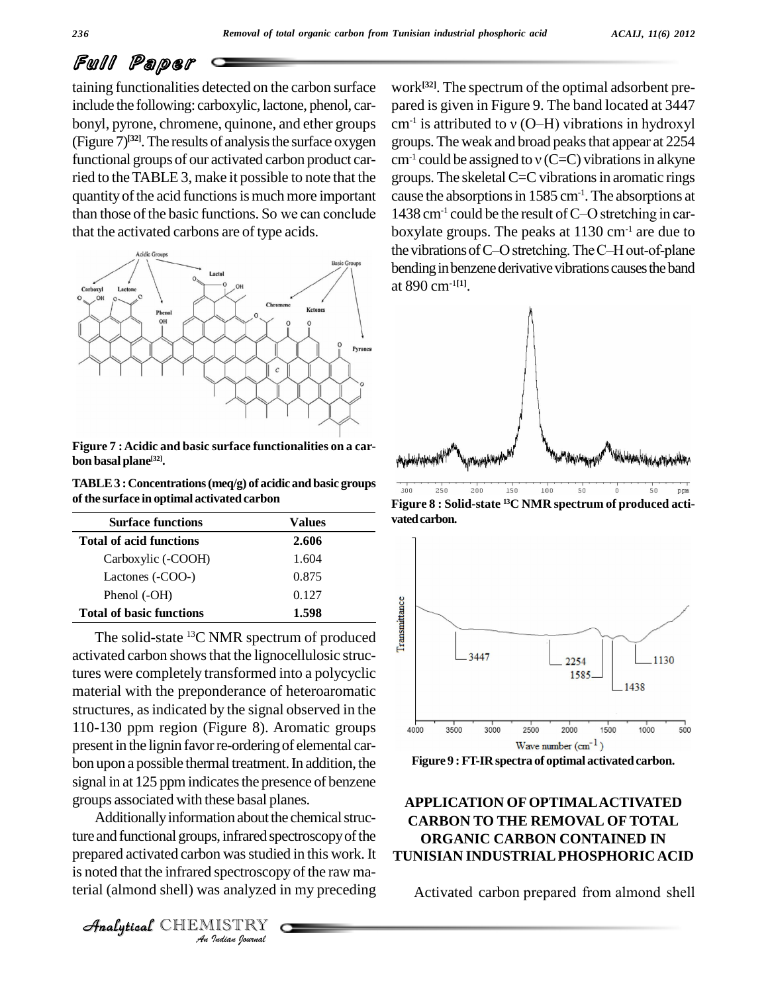taining functionalities detected on the carbon surface include the following: carboxylic, lactone, phenol, car bonyl, pyrone, chromene, quinone, and ether groups  $(Figure 7)^{[32]}$ . The results of analysis the surface oxygen groups functional groups of our activated carbon product carried to the TABLE 3, make it possible to note that the group<br>quantity of the acid functions is much more important cause<br>than those of the basic functions. So we can conclude 1438 quantity of the acid functions is much more important that the activated carbons are of type acids.



**Figure 7 :Acidic and basic surface functionalities on a car bon basal plane [32].**

**TABLE3 :Concentrations(meq/g) of acidic and basic groups ofthe surface in optimal activated carbon**

| <b>Surface functions</b>        | Values |
|---------------------------------|--------|
| <b>Total of acid functions</b>  | 2.606  |
| Carboxylic (-COOH)              | 1.604  |
| Lactones (-COO-)                | 0.875  |
| Phenol (-OH)                    | 0.127  |
| <b>Total of basic functions</b> | 1.598  |

The solid-state <sup>13</sup>C NMR spectrum of produced  $\frac{2}{8}$ activated carbon showsthat the lignocellulosic structures were completely transformed into a polycyclic material with the preponderance of heteroaromatic structures, asindicated by the signal observed in the 110-130 ppm region (Figure 8). Aromatic groups  $\overline{a_{000}}$ present in the lignin favor re-ordering of elemental carbon upon a possible thermal treatment. In addition, the signal in at 125 ppm indicates the presence of benzene groups associated with these basal planes.

ture and functional groups, infrared spectroscopy of the *I*s, infrared spectroscop<br>*In* was studie<br>*IISTRY*<br>*IISTRY* Additionally information about the chemical strucprepared activated carbon was studied in this work. It is noted that the infrared spectroscopy of the raw material (almond shell) was analyzed in my preceding

work **[32]**. The spectrum of the optimal adsorbent pre pared is given in Figure 9. The band located at 3447 work<sup>[32]</sup>. The spectrum of the optimal adsorbent pre-<br>pared is given in Figure 9. The band located at 3447<br>cm<sup>-1</sup> is attributed to v (O–H) vibrations in hydroxyl groups.The weak and broad peaksthat appear at 2254 cm<sup>-1</sup> is attributed to  $v$  (O–H) vibrations in hydroxyl groups. The weak and broad peaks that appear at 2254 cm<sup>-1</sup> could be assigned to  $v$  (C=C) vibrations in alkyne groups. The skeletal  $C=C$  vibrations in aromatic rings cause the absorptionsin 1585 cm-1 .The absorptions at groups. The skeletal C=C vibrations in aromatic rings<br>cause the absorptions in 1585 cm<sup>-1</sup>. The absorptions at<br>1438 cm<sup>-1</sup> could be the result of C–O stretching in carboxylate groups. The peaks at 1130 cm<sup>-1</sup> are due to 1438 cm<sup>-1</sup> could be the result of C-O stretching in carboxylate groups. The peaks at  $1130 \text{ cm}^{-1}$  are due to the vibrations of C-O stretching. The C-H out-of-plane bending in benzene derivative vibrations causes the band at 890 cm-1**[1]**.



**Figure 8 : Solid-state <sup>13</sup>C NMR spectrum of produced acti** vated carbon.





#### **APPLICATION OFOPTIMALACTIVATED CARBON TO THE REMOVAL OF TOTAL ORGANIC CARBON CONTAINED IN TUNISIAN INDUSTRIALPHOSPHORICACID**

Activated carbon prepared from almond shell

CHEMISTRY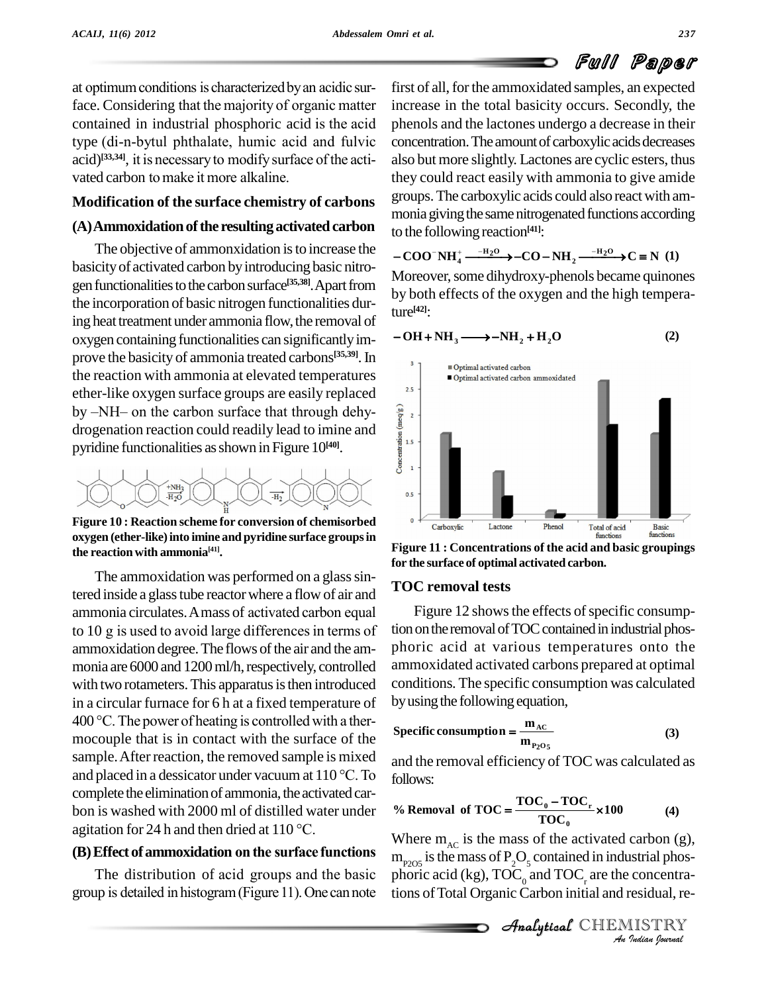at optimum conditions is characterized by an acidic surface. Considering that the majority of organic matter at optimum conditions is characterized by an acidic sur-<br>face. Considering that the majority of organic matter increase<br>contained in industrial phosphoric acid is the acid phenol face. Considering that the majority of organic matter increase contained in industrial phosphoric acid is the acid phenotype (di-n-bytul phthalate, humic acid and fulvic concern acid)<sup>[33,34]</sup>, it ained in industrial phosphoric acid is the acid phe (di-n-bytul phthalate, humic acid and fulvic continues, ass, and it is necessary to modify surface of the actitype (di-n-bytul phthalate, humic acid a<br>acid)<sup>[33,34]</sup>, it is necessary to modify surface<br>vated carbon to make it more alkaline.

#### **Modification of the surface chemistry of carbons**

#### $(A)$ Ammoxidation of the resulting activated carbon

The objective of ammonxidation is to increase the basicityof activated carbon byintroducing basic nitro gen functionalities to the carbon surface<sup>[35,38]</sup>. Apart from hypothether free the incorporation of basic nitrogen functionalities during heat treatment under ammonia flow, the removal of oxygen containing functionalities can significantlyim prove the basicity of ammonia treated carbons<sup>[35,39]</sup>. In the reaction with ammonia at elevated temperatures<br>of the like any serves are reactive and assistant local ether-like oxygen surface groups are easily replaced by –NH– on the carbon surface that through dehy-<br>drogenation reaction could readily lead to imine and<br>pyridine functionalities as shown in Figure 10<sup>(40)</sup>. drogenation reaction could readily lead to imine and pyridine functionalities asshown in Figure 10 **[40]**.



**Figure 10 : Reaction scheme for conversion of chemisorbed oxygen (ether-like)into imine and pyridine surface groupsin the reactionwith ammonia [41].**

The ammoxidation was performed on a glass sintered inside a glass tube reactor where a flow of air and  $\sqrt{10}$ The ammoxidation was performed on a glass sin-<br>tered inside a glass tube reactor where a flow of air and<br>ammonia circulates. A mass of activated carbon equal ammonia circulates. A mass of activated carbon equal<br>to 10 g is used to avoid large differences in terms of ammoxidation degree. The flows of the air and the ammonia are 6000 and 1200 ml/h, respectively, controlled with two rotameters. This apparatus is then introduced in a circular furnace for 6 h at a fixed temperature of  $by$ u with two rotameters. This apparatus is then introduced con<br>in a circular furnace for 6 h at a fixed temperature of by u<br>400 °C. The power of heating is controlled with a thermocouple that is in contact with the surface of the<br>sample. After reaction, the removed sample is mixed<br>and placed in a dessicator under vacuum at  $110^{\circ}$ C. To<br>follows sample. After reaction, the removed sample is mixed complete the elimination of ammonia, the activated car-<br>bon is washed with 2000 ml of distilled water under  $\%$  H<br>agitation for 24 h and then dried at 110 °C. bon iswashed with 2000 ml of distilled water under **(B)** bon is washed with 2000 ml of distilled water under  $\%$  **R**<br>agitation for 24 h and then dried at 110 °C.<br>**(B) Effect of ammoxidation on the surface functions** 

Effect of ammoxidation on the surface functions<br>The distribution of acid groups and the basic phoric The distribution of acid groups and the basic phoric acid (kg),  $\text{TOC}_0$  and  $\text{TOC}_r$  are the concentragroup is detailed in histogram (Figure 11). One can note tions of Total Organic Carbon initial and residual, re-

first of all, for the ammoxidated samples, an expected increase in the total basicity occurs. Secondly, the phenols and the lactones undergo a decrease in their concentration. The amount of carboxylic acids decreases also butmore slightly. Lactones are cyclic esters, thus they could react easily with ammonia to give amide groups.The carboxylic acids could also reactwith am monia giving the same nitrogenated functions according to the following reaction **[41]**: **COO NH**<sub>4</sub><sup> $--H_2O$ </sup>  $\rightarrow$  **CO**  $-NH_2$  $\rightarrow$   $\frac{-H_2O}{ }$  $\rightarrow$   $C \equiv N (1)$ 

Moreover, some dihydroxy-phenols became quinones by both effects of the oxygen and the high temperature **[42]**:

 $-\text{OH} + \text{NH}_3 \longrightarrow -\text{NH}_2 + \text{H}_2\text{O}$  (2)



**Figure 11 : Concentrations of the acid and basic groupings for the surface of optimal activated carbon.**

#### **TOC removal tests**

Figure 12 shows the effects of specific consumption on the removal of TOC contained in industrial phosphoric acid at various temperatures onto the ammoxidated activated carbons prepared at optimal conditions. The specific consumption was calculated

by using the following equation,  
\nSpecific consumption = 
$$
\frac{m_{AC}}{m_{P_2O_5}}
$$
 (3)

and the removal efficiency of TOC was calculated as follows:

follows:  
\n% Removal of TOC = 
$$
\frac{\text{TOC}_0 - \text{TOC}_r}{\text{TOC}_0} \times 100
$$
 (4)

Where  $m_{AC}$  is the mass of the activated carbon (g), *I*<br>*Indian*<br>*Indian*<br>*IISTRY*<br>*IISTRY*<br>*Indian bournal*  $\rm m_{P2OS}$  is the mass of  $\rm P_2O_5$  contained in industrial phos-<br>phoric acid (kg),  $\rm TOC_{_0}$  and  $\rm TOC_{_r}$  are the concentrations ofTotal OrganicCarbon initial and residual, re-

**Analytical** CHEMISTRY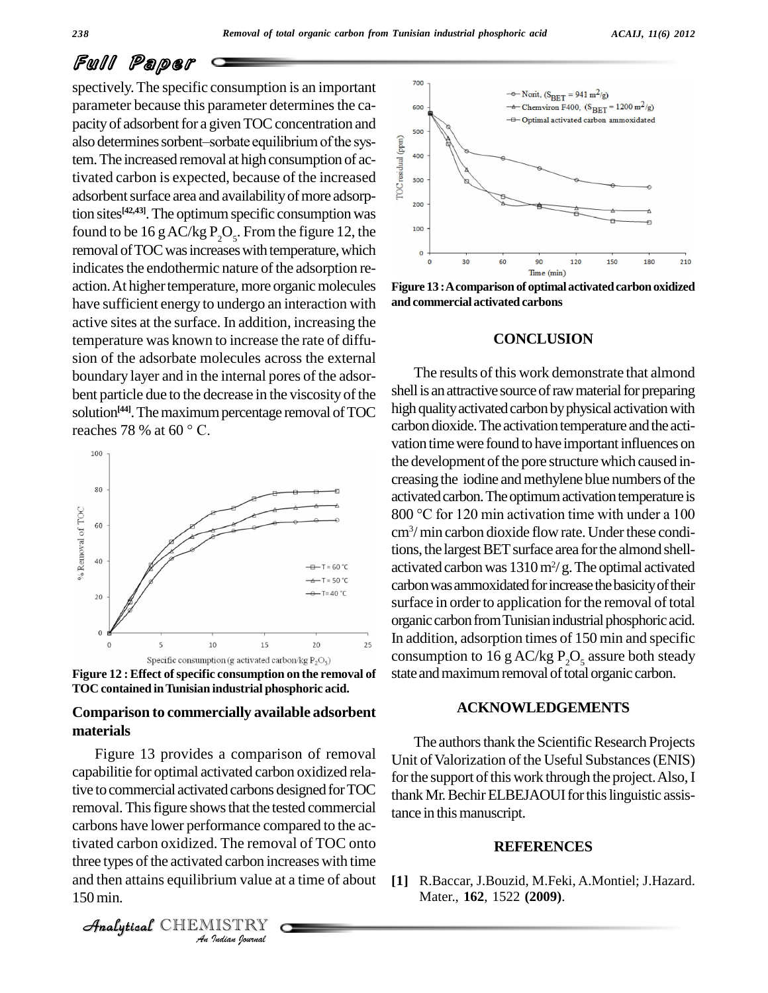spectively. The specific consumption is an important parameter because this parameter determines the capacity of adsorbent for a given TOC concentration and parameter because this parameter determines the capacity of adsorbent for a given TOC concentration and<br>also determines sorbent–sorbate equilibrium of the sysalso determines sorbent-sorbate equilibrium of the system. The increased removal at high consumption of ac-<br>tivated carbon is expected, because of the increased<br>adsorbent surface area and availability of more adsorpertivated carbon is expected, because of the increased adsorbent surface area and availability of more adsorption sites **[42,43]**.The optimumspecific consumptionwas found to be 16 g AC/kg  $P_2O_5$ . From the figure 12, the <sup>100</sup> removal of TOC was increases with temperature, which indicates the endothermic nature of the adsorption re-<br>action. At higher temperature, more organic molecules have sufficient energy to undergo an interaction with active sites atthe surface. In addition, increasing the temperature was known to increase the rate of diffu sion of the adsorbate molecules across the external boundary layer and in the internal pores of the adsor bent particle due to the decrease in the viscosity of the solution<sup>[44]</sup>. The maximum percentage removal of TOC high qualit bent particle due to the decreas<br>solution<sup>[44]</sup>. The maximum perc<br>reaches 78 % at 60 ° C.





#### **Comparison to commercially available adsorbent materials**

carbons have lower performance compared to the ac-*I*. The removed carbon inc<br> *i*<br> *i*<br> *IISTRY*<br> *IISTRY* tivated carbon oxidized. The removal of TOC onto Figure 13 provides a comparison of removal capabilitie for optimal activated carbon oxidized relative to commercial activated carbons designed for TOC removal. This figure shows that the tested commercial three types of the activated carbon increases with time and then attains equilibrium value at a time of about 150min.





**Figure 13 :Acomparison of optimalactivatedcarbonoxidized and commercial activated carbons**

#### **CONCLUSION**

The results of this work demonstrate that almond shell is an attractive source of raw material for preparing high quality activated carbon by physical activation with carbon dioxide. The activation temperature and the activation time were found to have important influences on the development of the pore structure which caused in-<br>creasing the iodine and methylene blue numbers of the activated carbon. The optimum activation temperature is creasing the iodine and methylene blue numbers of the<br>activated carbon. The optimum activation temperature is<br>800 °C for 120 min activation time with under a 100 cm<sup>3</sup> /min carbon dioxide flowrate.Underthese conditions, the largest BET surface area for the almond shellactivated carbon was  $1310\,\mathrm{m^2/g}$ . The optimal activated carbon was ammoxidated for increase the basicity of their surface in order to application for the removal of total organic carbon from Tunisian industrial phosphoric acid. In addition, adsorption times of 150 min and specific consumption to 16 g AC/kg  $P_2O_5$  assure both steady state and maximum removal of total organic carbon.

#### **ACKNOWLEDGEMENTS**

The authors thank the Scientific Research Projects Unit of Valorization of the Useful Substances (ENIS) for the support of this work through the project. Also, I thank Mr. Bechir ELBEJAOUI for this linguistic assistance in this manuscript.

#### **REFERENCES**

**[1]** R.Baccar, J.Bouzid, M.Feki, A.Montiel; J.Hazard. Mater., **162**, 1522 **(2009)**.